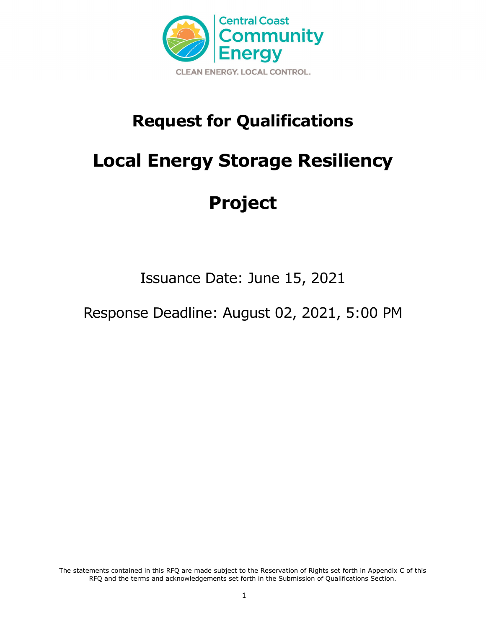

# **Request for Qualifications**

# **Local Energy Storage Resiliency**

# **Project**

Issuance Date: June 15, 2021

Response Deadline: August 02, 2021, 5:00 PM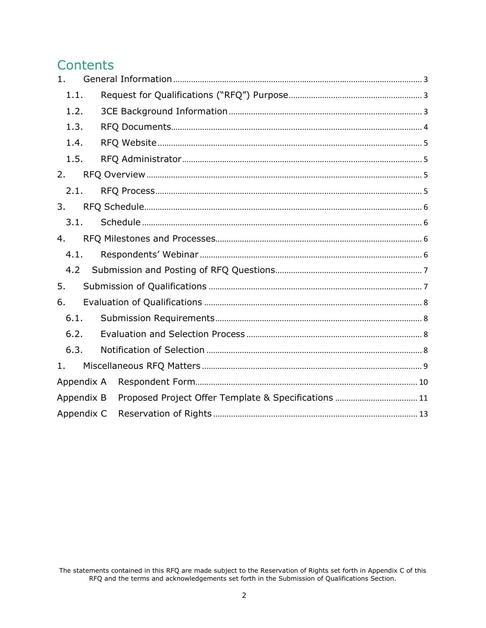## **Contents**

| 1.         |  |  |  |  |  |  |  |
|------------|--|--|--|--|--|--|--|
| 1.1.       |  |  |  |  |  |  |  |
| 1.2.       |  |  |  |  |  |  |  |
| 1.3.       |  |  |  |  |  |  |  |
| 1.4.       |  |  |  |  |  |  |  |
| 1.5.       |  |  |  |  |  |  |  |
| 2.         |  |  |  |  |  |  |  |
| 2.1.       |  |  |  |  |  |  |  |
| 3.         |  |  |  |  |  |  |  |
| 3.1.       |  |  |  |  |  |  |  |
| 4.         |  |  |  |  |  |  |  |
| 4.1.       |  |  |  |  |  |  |  |
| 4.2        |  |  |  |  |  |  |  |
| 5.         |  |  |  |  |  |  |  |
| 6.         |  |  |  |  |  |  |  |
| 6.1.       |  |  |  |  |  |  |  |
| 6.2.       |  |  |  |  |  |  |  |
| 6.3.       |  |  |  |  |  |  |  |
| 1.         |  |  |  |  |  |  |  |
| Appendix A |  |  |  |  |  |  |  |
| Appendix B |  |  |  |  |  |  |  |
| Appendix C |  |  |  |  |  |  |  |

The statements contained in this RFQ are made subject to the Reservation of Rights set forth in Appendix C of this<br>RFQ and the terms and acknowledgements set forth in the Submission of Qualifications Section.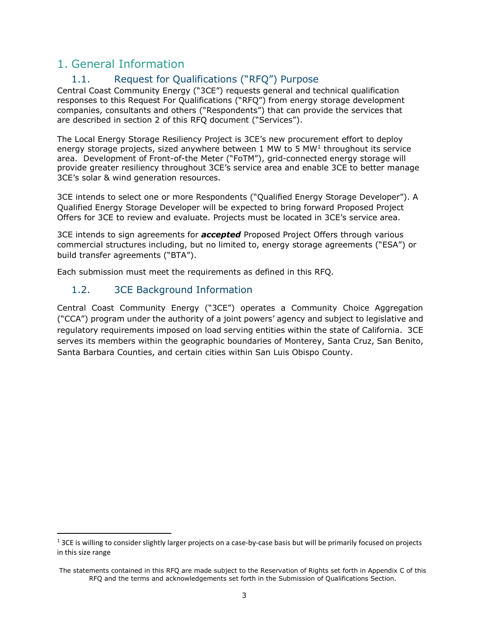## <span id="page-2-1"></span><span id="page-2-0"></span>1. General Information

## 1.1. Request for Qualifications ("RFQ") Purpose

Central Coast Community Energy ("3CE") requests general and technical qualification responses to this Request For Qualifications ("RFQ") from energy storage development companies, consultants and others ("Respondents") that can provide the services that are described in section 2 of this RFQ document ("Services").

The Local Energy Storage Resiliency Project is 3CE's new procurement effort to deploy energy storage projects, sized anywhere between  $1 \text{ MW}$  $1 \text{ MW}$  to 5 MW<sup>1</sup> throughout its service area. Development of Front-of-the Meter ("FoTM"), grid-connected energy storage will provide greater resiliency throughout 3CE's service area and enable 3CE to better manage 3CE's solar & wind generation resources.

3CE intends to select one or more Respondents ("Qualified Energy Storage Developer"). A Qualified Energy Storage Developer will be expected to bring forward Proposed Project Offers for 3CE to review and evaluate. Projects must be located in 3CE's service area.

3CE intends to sign agreements for *accepted* Proposed Project Offers through various commercial structures including, but no limited to, energy storage agreements ("ESA") or build transfer agreements ("BTA").

Each submission must meet the requirements as defined in this RFQ.

### <span id="page-2-2"></span>1.2. 3CE Background Information

Central Coast Community Energy ("3CE") operates a Community Choice Aggregation ("CCA") program under the authority of a joint powers' agency and subject to legislative and regulatory requirements imposed on load serving entities within the state of California. 3CE serves its members within the geographic boundaries of Monterey, Santa Cruz, San Benito, Santa Barbara Counties, and certain cities within San Luis Obispo County.

<span id="page-2-3"></span> $1$  3CE is willing to consider slightly larger projects on a case-by-case basis but will be primarily focused on projects in this size range

The statements contained in this RFQ are made subject to the Reservation of Rights set forth in Appendix C of this RFQ and the terms and acknowledgements set forth in the Submission of Qualifications Section.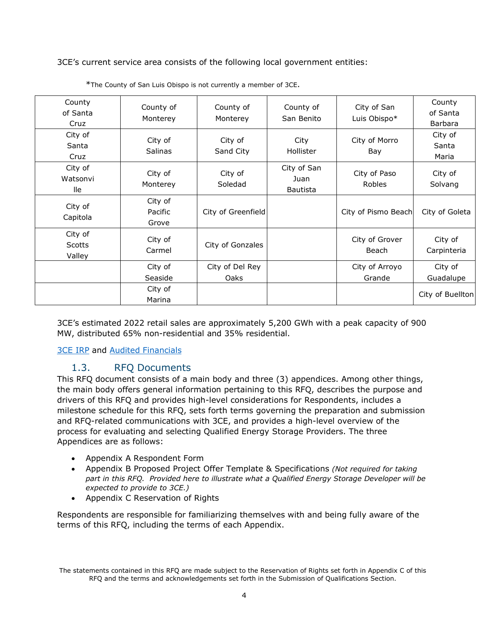3CE's current service area consists of the following local government entities:

| County<br>of Santa<br>Cruz  | County of<br>Monterey       | County of<br>Monterey   | County of<br>San Benito                | City of San<br>Luis Obispo* | County<br>of Santa<br><b>Barbara</b> |
|-----------------------------|-----------------------------|-------------------------|----------------------------------------|-----------------------------|--------------------------------------|
| City of<br>Santa<br>Cruz    | City of<br><b>Salinas</b>   | City of<br>Sand City    | City<br>Hollister                      | City of Morro<br>Bay        | City of<br>Santa<br>Maria            |
| City of<br>Watsonvi<br>lle  | City of<br>Monterey         | City of<br>Soledad      | City of San<br>Juan<br><b>Bautista</b> | City of Paso<br>Robles      | City of<br>Solvang                   |
| City of<br>Capitola         | City of<br>Pacific<br>Grove | City of Greenfield      |                                        | City of Pismo Beach         | City of Goleta                       |
| City of<br>Scotts<br>Valley | City of<br>Carmel           | City of Gonzales        |                                        | City of Grover<br>Beach     | City of<br>Carpinteria               |
|                             | City of<br>Seaside          | City of Del Rey<br>Oaks |                                        | City of Arroyo<br>Grande    | City of<br>Guadalupe                 |
|                             | City of<br>Marina           |                         |                                        |                             | City of Buellton                     |

\*The County of San Luis Obispo is not currently a member of 3CE.

3CE's estimated 2022 retail sales are approximately 5,200 GWh with a peak capacity of 900 MW, distributed 65% non-residential and 35% residential.

### **[3CE](https://3cenergy.org/wp-content/uploads/2020/09/MBCPA_IRP_2020_v1_PUBLIC.pdf) IRP and [Audited Financials](https://3cenergy.org/wp-content/uploads/2020/03/MBCP-2018-19-Audited-Financial-Statements-.pdf)**

### <span id="page-3-0"></span>1.3. RFQ Documents

This RFQ document consists of a main body and three (3) appendices. Among other things, the main body offers general information pertaining to this RFQ, describes the purpose and drivers of this RFQ and provides high-level considerations for Respondents, includes a milestone schedule for this RFQ, sets forth terms governing the preparation and submission and RFQ-related communications with 3CE, and provides a high-level overview of the process for evaluating and selecting Qualified Energy Storage Providers. The three Appendices are as follows:

- Appendix A Respondent Form
- Appendix B Proposed Project Offer Template & Specifications *(Not required for taking part in this RFQ. Provided here to illustrate what a Qualified Energy Storage Developer will be expected to provide to 3CE.)*
- Appendix C Reservation of Rights

Respondents are responsible for familiarizing themselves with and being fully aware of the terms of this RFQ, including the terms of each Appendix.

The statements contained in this RFQ are made subject to the Reservation of Rights set forth in Appendix C of this RFQ and the terms and acknowledgements set forth in the Submission of Qualifications Section.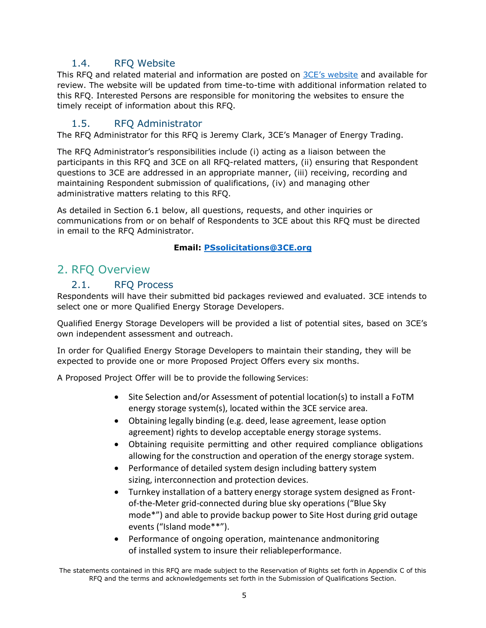### <span id="page-4-0"></span>1.4. RFQ Website

This RFQ and related material and information are posted on 3CE's [website](https://3cenergy.org/current_requests_for/local-energy-storage-resiliency-project/) and available for review. The website will be updated from time-to-time with additional information related to this RFQ. Interested Persons are responsible for monitoring the websites to ensure the timely receipt of information about this RFQ.

### 1.5. RFQ Administrator

<span id="page-4-1"></span>The RFQ Administrator for this RFQ is Jeremy Clark, 3CE's Manager of Energy Trading.

The RFQ Administrator's responsibilities include (i) acting as a liaison between the participants in this RFQ and 3CE on all RFQ-related matters, (ii) ensuring that Respondent questions to 3CE are addressed in an appropriate manner, (iii) receiving, recording and maintaining Respondent submission of qualifications, (iv) and managing other administrative matters relating to this RFQ.

As detailed in Section [6.1](#page-7-1) below, all questions, requests, and other inquiries or communications from or on behalf of Respondents to 3CE about this RFQ must be directed in email to the RFQ Administrator.

### **Email: [PSsolicitations@3CE.org](mailto:PSsolicitations@MBCP.org)**

## <span id="page-4-3"></span><span id="page-4-2"></span>2. RFQ Overview

### 2.1. RFQ Process

Respondents will have their submitted bid packages reviewed and evaluated. 3CE intends to select one or more Qualified Energy Storage Developers.

Qualified Energy Storage Developers will be provided a list of potential sites, based on 3CE's own independent assessment and outreach.

In order for Qualified Energy Storage Developers to maintain their standing, they will be expected to provide one or more Proposed Project Offers every six months.

A Proposed Project Offer will be to provide the following Services:

- Site Selection and/or Assessment of potential location(s) to install a FoTM energy storage system(s), located within the 3CE service area.
- Obtaining legally binding (e.g. deed, lease agreement, lease option agreement) rights to develop acceptable energy storage systems.
- Obtaining requisite permitting and other required compliance obligations allowing for the construction and operation of the energy storage system.
- Performance of detailed system design including battery system sizing, interconnection and protection devices.
- Turnkey installation of a battery energy storage system designed as Frontof-the-Meter grid-connected during blue sky operations ("Blue Sky mode\*") and able to provide backup power to Site Host during grid outage events ("Island mode\*\*").
- Performance of ongoing operation, maintenance andmonitoring of installed system to insure their reliableperformance.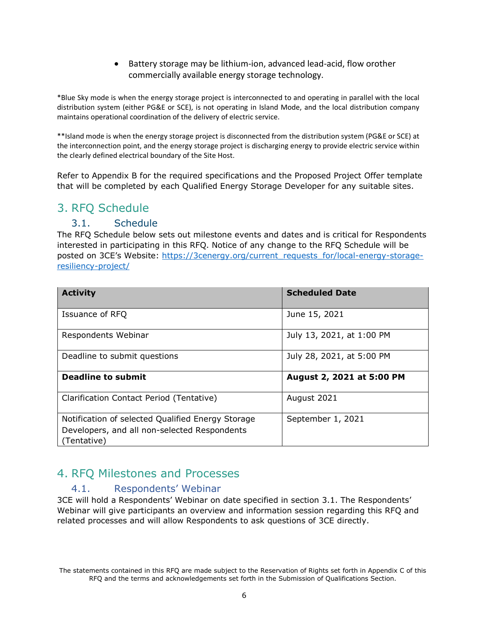• Battery storage may be lithium-ion, advanced lead-acid, flow orother commercially available energy storage technology.

\*Blue Sky mode is when the energy storage project is interconnected to and operating in parallel with the local distribution system (either PG&E or SCE), is not operating in Island Mode, and the local distribution company maintains operational coordination of the delivery of electric service.

\*\*Island mode is when the energy storage project is disconnected from the distribution system (PG&E or SCE) at the interconnection point, and the energy storage project is discharging energy to provide electric service within the clearly defined electrical boundary of the Site Host.

Refer to Appendix B for the required specifications and the Proposed Project Offer template that will be completed by each Qualified Energy Storage Developer for any suitable sites.

## <span id="page-5-1"></span><span id="page-5-0"></span>3. RFQ Schedule

### 3.1. Schedule

The RFQ Schedule below sets out milestone events and dates and is critical for Respondents interested in participating in this RFQ. Notice of any change to the RFQ Schedule will be posted on 3CE's Website: [https://3cenergy.org/current\\_requests\\_for/local-energy-storage](https://3cenergy.org/current_requests_for/local-energy-storage-resiliency-project/)[resiliency-project/](https://3cenergy.org/current_requests_for/local-energy-storage-resiliency-project/)

| <b>Activity</b>                                                                                                  | <b>Scheduled Date</b>     |
|------------------------------------------------------------------------------------------------------------------|---------------------------|
| Issuance of RFQ                                                                                                  | June 15, 2021             |
| Respondents Webinar                                                                                              | July 13, 2021, at 1:00 PM |
| Deadline to submit questions                                                                                     | July 28, 2021, at 5:00 PM |
| <b>Deadline to submit</b>                                                                                        | August 2, 2021 at 5:00 PM |
| Clarification Contact Period (Tentative)                                                                         | August 2021               |
| Notification of selected Qualified Energy Storage<br>Developers, and all non-selected Respondents<br>(Tentative) | September 1, 2021         |

## <span id="page-5-3"></span><span id="page-5-2"></span>4. RFQ Milestones and Processes

### 4.1. Respondents' Webinar

3CE will hold a Respondents' Webinar on date specified in section 3.1. The Respondents' Webinar will give participants an overview and information session regarding this RFQ and related processes and will allow Respondents to ask questions of 3CE directly.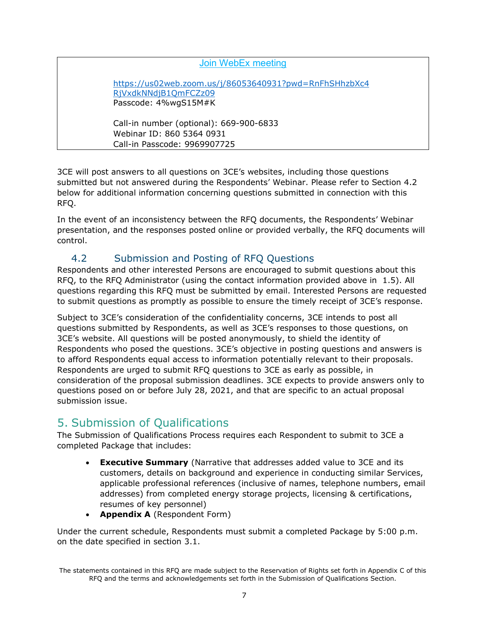### [Join WebEx](https://us02web.zoom.us/j/86053640931?pwd=RnFhSHhzbXc4RjVxdkNNdjB1QmFCZz09) meeting

[https://us02web.zoom.us/j/86053640931?pwd=RnFhSHhzbXc4](https://us02web.zoom.us/j/86053640931?pwd=RnFhSHhzbXc4RjVxdkNNdjB1QmFCZz09) [RjVxdkNNdjB1QmFCZz09](https://us02web.zoom.us/j/86053640931?pwd=RnFhSHhzbXc4RjVxdkNNdjB1QmFCZz09) Passcode: 4%wgS15M#K

Call-in number (optional): 669-900-6833 Webinar ID: 860 5364 0931 Call-in Passcode: 9969907725

3CE will post answers to all questions on 3CE's websites, including those questions submitted but not answered during the Respondents' Webinar. Please refer to Section 4.2 below for additional information concerning questions submitted in connection with this RFQ.

In the event of an inconsistency between the RFQ documents, the Respondents' Webinar presentation, and the responses posted online or provided verbally, the RFQ documents will control.

## 4.2 Submission and Posting of RFQ Questions

<span id="page-6-0"></span>Respondents and other interested Persons are encouraged to submit questions about this RFQ, to the RFQ Administrator (using the contact information provided above in [1.5](#page-4-1)). All questions regarding this RFQ must be submitted by email. Interested Persons are requested to submit questions as promptly as possible to ensure the timely receipt of 3CE's response.

Subject to 3CE's consideration of the confidentiality concerns, 3CE intends to post all questions submitted by Respondents, as well as 3CE's responses to those questions, on 3CE's website. All questions will be posted anonymously, to shield the identity of Respondents who posed the questions. 3CE's objective in posting questions and answers is to afford Respondents equal access to information potentially relevant to their proposals. Respondents are urged to submit RFQ questions to 3CE as early as possible, in consideration of the proposal submission deadlines. 3CE expects to provide answers only to questions posed on or before July 28, 2021, and that are specific to an actual proposal submission issue.

## <span id="page-6-1"></span>5. Submission of Qualifications

The Submission of Qualifications Process requires each Respondent to submit to 3CE a completed Package that includes:

- **Executive Summary** (Narrative that addresses added value to 3CE and its customers, details on background and experience in conducting similar Services, applicable professional references (inclusive of names, telephone numbers, email addresses) from completed energy storage projects, licensing & certifications, resumes of key personnel)
- **[Appendix A](#page-9-0)** (Respondent Form)

Under the current schedule, Respondents must submit a completed Package by 5:00 p.m. on the date specified in section 3.1.

The statements contained in this RFQ are made subject to the Reservation of Rights set forth in Appendix C of this RFQ and the terms and acknowledgements set forth in the Submission of Qualifications Section.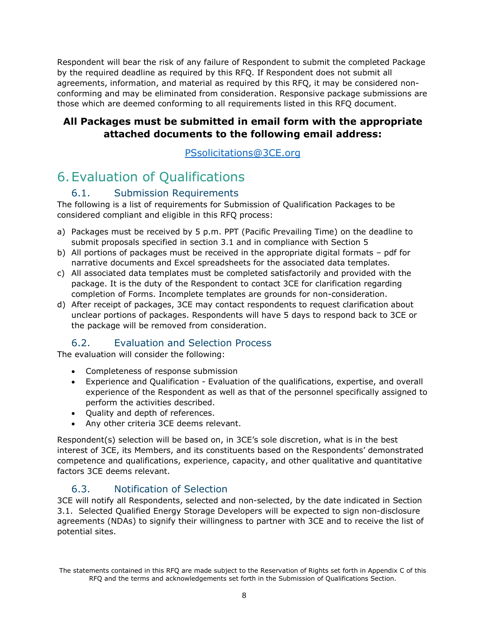Respondent will bear the risk of any failure of Respondent to submit the completed Package by the required deadline as required by this RFQ. If Respondent does not submit all agreements, information, and material as required by this RFQ, it may be considered nonconforming and may be eliminated from consideration. Responsive package submissions are those which are deemed conforming to all requirements listed in this RFQ document.

### **All Packages must be submitted in email form with the appropriate attached documents to the following email address:**

[PSsolicitations@3CE.org](mailto:PSsolicitations@MBCP.org) 

## <span id="page-7-0"></span>6.Evaluation of Qualifications

## 6.1. Submission Requirements

<span id="page-7-1"></span>The following is a list of requirements for Submission of Qualification Packages to be considered compliant and eligible in this RFQ process:

- a) Packages must be received by 5 p.m. PPT (Pacific Prevailing Time) on the deadline to submit proposals specified in section 3.1 and in compliance with Section 5
- b) All portions of packages must be received in the appropriate digital formats pdf for narrative documents and Excel spreadsheets for the associated data templates.
- c) All associated data templates must be completed satisfactorily and provided with the package. It is the duty of the Respondent to contact 3CE for clarification regarding completion of Forms. Incomplete templates are grounds for non-consideration.
- d) After receipt of packages, 3CE may contact respondents to request clarification about unclear portions of packages. Respondents will have 5 days to respond back to 3CE or the package will be removed from consideration.

### 6.2. Evaluation and Selection Process

<span id="page-7-2"></span>The evaluation will consider the following:

- Completeness of response submission
- Experience and Qualification Evaluation of the qualifications, expertise, and overall experience of the Respondent as well as that of the personnel specifically assigned to perform the activities described.
- Quality and depth of references.
- Any other criteria 3CE deems relevant.

Respondent(s) selection will be based on, in 3CE's sole discretion, what is in the best interest of 3CE, its Members, and its constituents based on the Respondents' demonstrated competence and qualifications, experience, capacity, and other qualitative and quantitative factors 3CE deems relevant.

### 6.3. Notification of Selection

<span id="page-7-3"></span>3CE will notify all Respondents, selected and non-selected, by the date indicated in Section 3.1. Selected Qualified Energy Storage Developers will be expected to sign non-disclosure agreements (NDAs) to signify their willingness to partner with 3CE and to receive the list of potential sites.

The statements contained in this RFQ are made subject to the Reservation of Rights set forth in Appendix C of this RFQ and the terms and acknowledgements set forth in the Submission of Qualifications Section.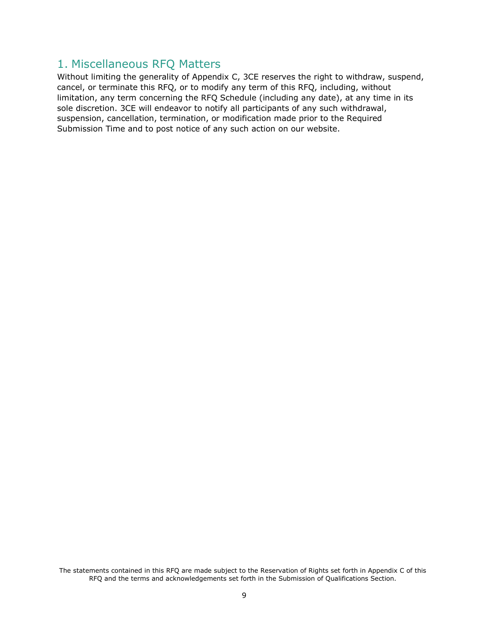## <span id="page-8-0"></span>1. Miscellaneous RFQ Matters

Without limiting the generality of Appendix C, 3CE reserves the right to withdraw, suspend, cancel, or terminate this RFQ, or to modify any term of this RFQ, including, without limitation, any term concerning the RFQ Schedule (including any date), at any time in its sole discretion. 3CE will endeavor to notify all participants of any such withdrawal, suspension, cancellation, termination, or modification made prior to the Required Submission Time and to post notice of any such action on our website.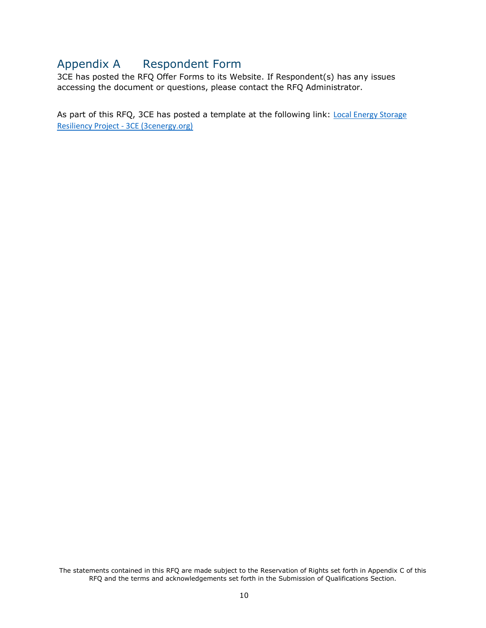## <span id="page-9-0"></span>Appendix A Respondent Form

3CE has posted the RFQ Offer Forms to its Website. If Respondent(s) has any issues accessing the document or questions, please contact the RFQ Administrator.

As part of this RFQ, 3CE has posted a template at the following link: Local Energy Storage Resiliency Project - [3CE \(3cenergy.org\)](https://3cenergy.org/current_requests_for/local-energy-storage-resiliency-project/)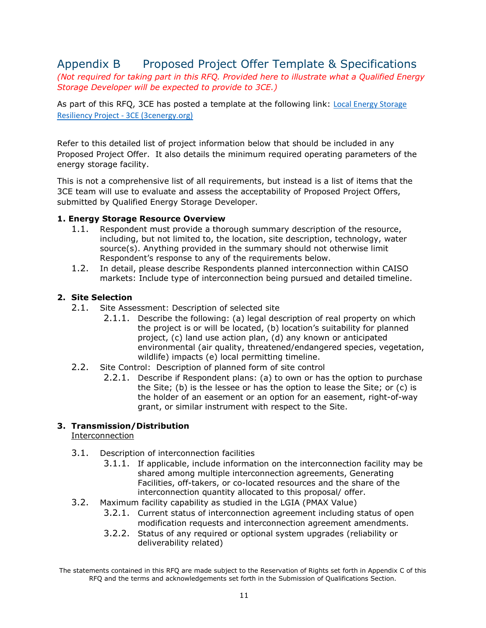## <span id="page-10-0"></span>Appendix B Proposed Project Offer Template & Specifications

*(Not required for taking part in this RFQ. Provided here to illustrate what a Qualified Energy Storage Developer will be expected to provide to 3CE.)*

As part of this RFQ, 3CE has posted a template at the following link: [Local Energy Storage](https://3cenergy.org/current_requests_for/local-energy-storage-resiliency-project/)  Resiliency Project - [3CE \(3cenergy.org\)](https://3cenergy.org/current_requests_for/local-energy-storage-resiliency-project/)

Refer to this detailed list of project information below that should be included in any Proposed Project Offer. It also details the minimum required operating parameters of the energy storage facility.

This is not a comprehensive list of all requirements, but instead is a list of items that the 3CE team will use to evaluate and assess the acceptability of Proposed Project Offers, submitted by Qualified Energy Storage Developer.

### **1. Energy Storage Resource Overview**

- 1.1. Respondent must provide a thorough summary description of the resource, including, but not limited to, the location, site description, technology, water source(s). Anything provided in the summary should not otherwise limit Respondent's response to any of the requirements below.
- 1.2. In detail, please describe Respondents planned interconnection within CAISO markets: Include type of interconnection being pursued and detailed timeline.

### **2. Site Selection**

- 2.1. Site Assessment: Description of selected site
	- 2.1.1. Describe the following: (a) legal description of real property on which the project is or will be located, (b) location's suitability for planned project, (c) land use action plan, (d) any known or anticipated environmental (air quality, threatened/endangered species, vegetation, wildlife) impacts (e) local permitting timeline.
- 2.2. Site Control: Description of planned form of site control
	- 2.2.1. Describe if Respondent plans: (a) to own or has the option to purchase the Site; (b) is the lessee or has the option to lease the Site; or (c) is the holder of an easement or an option for an easement, right-of-way grant, or similar instrument with respect to the Site.

### **3. Transmission/Distribution**

**Interconnection** 

- 3.1. Description of interconnection facilities
	- 3.1.1. If applicable, include information on the interconnection facility may be shared among multiple interconnection agreements, Generating Facilities, off-takers, or co-located resources and the share of the interconnection quantity allocated to this proposal/ offer.
- 3.2. Maximum facility capability as studied in the LGIA (PMAX Value)
	- 3.2.1. Current status of interconnection agreement including status of open modification requests and interconnection agreement amendments.
	- 3.2.2. Status of any required or optional system upgrades (reliability or deliverability related)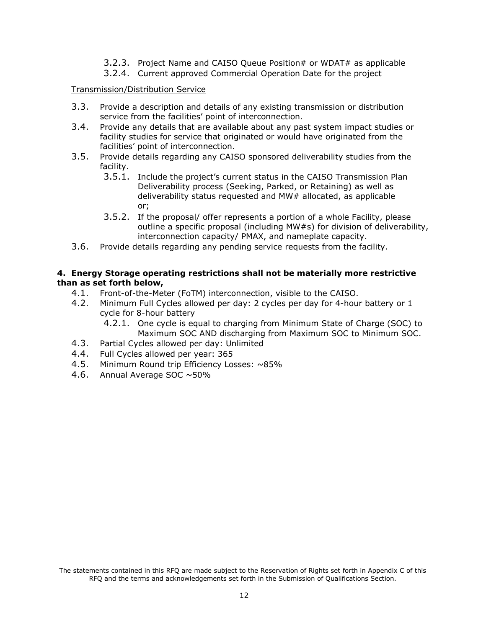- 3.2.3. Project Name and CAISO Queue Position# or WDAT# as applicable
- 3.2.4. Current approved Commercial Operation Date for the project

#### Transmission/Distribution Service

- 3.3. Provide a description and details of any existing transmission or distribution service from the facilities' point of interconnection.
- 3.4. Provide any details that are available about any past system impact studies or facility studies for service that originated or would have originated from the facilities' point of interconnection.
- 3.5. Provide details regarding any CAISO sponsored deliverability studies from the facility.
	- 3.5.1. Include the project's current status in the CAISO Transmission Plan Deliverability process (Seeking, Parked, or Retaining) as well as deliverability status requested and MW# allocated, as applicable or;
	- 3.5.2. If the proposal/ offer represents a portion of a whole Facility, please outline a specific proposal (including MW#s) for division of deliverability, interconnection capacity/ PMAX, and nameplate capacity.
- 3.6. Provide details regarding any pending service requests from the facility.

### **4. Energy Storage operating restrictions shall not be materially more restrictive than as set forth below,**

- 4.1. Front-of-the-Meter (FoTM) interconnection, visible to the CAISO.
- 4.2. Minimum Full Cycles allowed per day: 2 cycles per day for 4-hour battery or 1 cycle for 8-hour battery
	- 4.2.1. One cycle is equal to charging from Minimum State of Charge (SOC) to Maximum SOC AND discharging from Maximum SOC to Minimum SOC.
- 4.3. Partial Cycles allowed per day: Unlimited
- 4.4. Full Cycles allowed per year: 365
- 4.5. Minimum Round trip Efficiency Losses:  $~85\%$ <br>4.6. Annual Average SOC  $~50\%$
- Annual Average SOC ~50%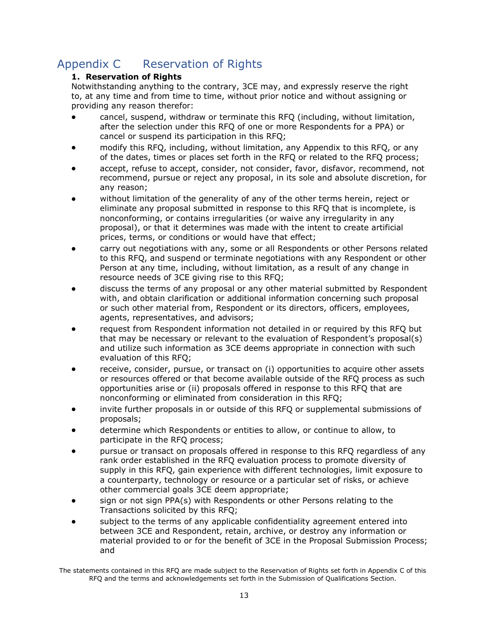## <span id="page-12-0"></span>Appendix C Reservation of Rights

### **1. Reservation of Rights**

Notwithstanding anything to the contrary, 3CE may, and expressly reserve the right to, at any time and from time to time, without prior notice and without assigning or providing any reason therefor:

- cancel, suspend, withdraw or terminate this RFQ (including, without limitation, after the selection under this RFQ of one or more Respondents for a PPA) or cancel or suspend its participation in this RFQ;
- modify this RFQ, including, without limitation, any Appendix to this RFQ, or any of the dates, times or places set forth in the RFQ or related to the RFQ process;
- accept, refuse to accept, consider, not consider, favor, disfavor, recommend, not recommend, pursue or reject any proposal, in its sole and absolute discretion, for any reason;
- without limitation of the generality of any of the other terms herein, reject or eliminate any proposal submitted in response to this RFQ that is incomplete, is nonconforming, or contains irregularities (or waive any irregularity in any proposal), or that it determines was made with the intent to create artificial prices, terms, or conditions or would have that effect;
- carry out negotiations with any, some or all Respondents or other Persons related to this RFQ, and suspend or terminate negotiations with any Respondent or other Person at any time, including, without limitation, as a result of any change in resource needs of 3CE giving rise to this RFQ;
- discuss the terms of any proposal or any other material submitted by Respondent with, and obtain clarification or additional information concerning such proposal or such other material from, Respondent or its directors, officers, employees, agents, representatives, and advisors;
- request from Respondent information not detailed in or required by this RFQ but that may be necessary or relevant to the evaluation of Respondent's proposal(s) and utilize such information as 3CE deems appropriate in connection with such evaluation of this RFQ;
- receive, consider, pursue, or transact on (i) opportunities to acquire other assets or resources offered or that become available outside of the RFQ process as such opportunities arise or (ii) proposals offered in response to this RFQ that are nonconforming or eliminated from consideration in this RFQ;
- invite further proposals in or outside of this RFQ or supplemental submissions of proposals;
- determine which Respondents or entities to allow, or continue to allow, to participate in the RFQ process;
- pursue or transact on proposals offered in response to this RFQ regardless of any rank order established in the RFQ evaluation process to promote diversity of supply in this RFQ, gain experience with different technologies, limit exposure to a counterparty, technology or resource or a particular set of risks, or achieve other commercial goals 3CE deem appropriate;
- sign or not sign PPA(s) with Respondents or other Persons relating to the Transactions solicited by this RFQ;
- subject to the terms of any applicable confidentiality agreement entered into between 3CE and Respondent, retain, archive, or destroy any information or material provided to or for the benefit of 3CE in the Proposal Submission Process; and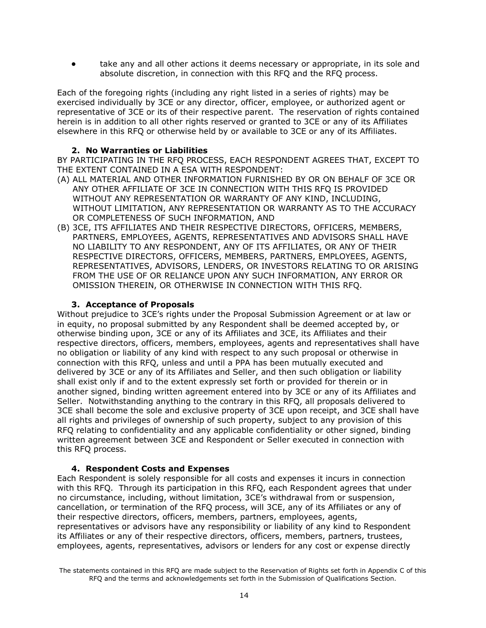take any and all other actions it deems necessary or appropriate, in its sole and absolute discretion, in connection with this RFQ and the RFQ process.

Each of the foregoing rights (including any right listed in a series of rights) may be exercised individually by 3CE or any director, officer, employee, or authorized agent or representative of 3CE or its of their respective parent. The reservation of rights contained herein is in addition to all other rights reserved or granted to 3CE or any of its Affiliates elsewhere in this RFQ or otherwise held by or available to 3CE or any of its Affiliates.

#### **2. No Warranties or Liabilities**

BY PARTICIPATING IN THE RFQ PROCESS, EACH RESPONDENT AGREES THAT, EXCEPT TO THE EXTENT CONTAINED IN A ESA WITH RESPONDENT:

- (A) ALL MATERIAL AND OTHER INFORMATION FURNISHED BY OR ON BEHALF OF 3CE OR ANY OTHER AFFILIATE OF 3CE IN CONNECTION WITH THIS RFQ IS PROVIDED WITHOUT ANY REPRESENTATION OR WARRANTY OF ANY KIND, INCLUDING, WITHOUT LIMITATION, ANY REPRESENTATION OR WARRANTY AS TO THE ACCURACY OR COMPLETENESS OF SUCH INFORMATION, AND
- (B) 3CE, ITS AFFILIATES AND THEIR RESPECTIVE DIRECTORS, OFFICERS, MEMBERS, PARTNERS, EMPLOYEES, AGENTS, REPRESENTATIVES AND ADVISORS SHALL HAVE NO LIABILITY TO ANY RESPONDENT, ANY OF ITS AFFILIATES, OR ANY OF THEIR RESPECTIVE DIRECTORS, OFFICERS, MEMBERS, PARTNERS, EMPLOYEES, AGENTS, REPRESENTATIVES, ADVISORS, LENDERS, OR INVESTORS RELATING TO OR ARISING FROM THE USE OF OR RELIANCE UPON ANY SUCH INFORMATION, ANY ERROR OR OMISSION THEREIN, OR OTHERWISE IN CONNECTION WITH THIS RFQ.

#### **3. Acceptance of Proposals**

Without prejudice to 3CE's rights under the Proposal Submission Agreement or at law or in equity, no proposal submitted by any Respondent shall be deemed accepted by, or otherwise binding upon, 3CE or any of its Affiliates and 3CE, its Affiliates and their respective directors, officers, members, employees, agents and representatives shall have no obligation or liability of any kind with respect to any such proposal or otherwise in connection with this RFQ, unless and until a PPA has been mutually executed and delivered by 3CE or any of its Affiliates and Seller, and then such obligation or liability shall exist only if and to the extent expressly set forth or provided for therein or in another signed, binding written agreement entered into by 3CE or any of its Affiliates and Seller. Notwithstanding anything to the contrary in this RFQ, all proposals delivered to 3CE shall become the sole and exclusive property of 3CE upon receipt, and 3CE shall have all rights and privileges of ownership of such property, subject to any provision of this RFQ relating to confidentiality and any applicable confidentiality or other signed, binding written agreement between 3CE and Respondent or Seller executed in connection with this RFQ process.

#### **4. Respondent Costs and Expenses**

Each Respondent is solely responsible for all costs and expenses it incurs in connection with this RFQ. Through its participation in this RFQ, each Respondent agrees that under no circumstance, including, without limitation, 3CE's withdrawal from or suspension, cancellation, or termination of the RFQ process, will 3CE, any of its Affiliates or any of their respective directors, officers, members, partners, employees, agents, representatives or advisors have any responsibility or liability of any kind to Respondent its Affiliates or any of their respective directors, officers, members, partners, trustees, employees, agents, representatives, advisors or lenders for any cost or expense directly